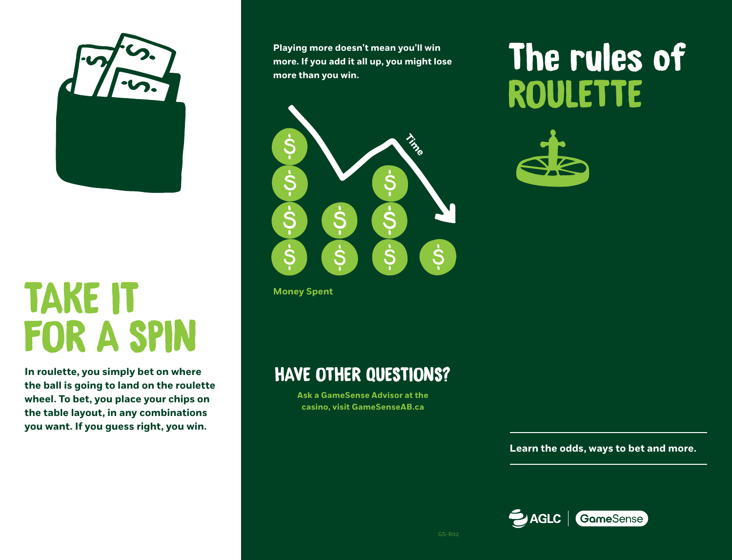

# TAKE IT FOR A SPIN

**In roulette, you simply bet on where the ball is going to land on the roulette wheel. To bet, you place your chips on the table layout, in any combinations you want. If you guess right, you win.**

**Playing more doesn't mean you'll win more. If you add it all up, you might lose more than you win.**



**Money Spent**

### HAVE OTHER QUESTIONS?

**Ask a GameSense Advisor at the casino, visit GameSenseAB.ca** 

## The rules of **ROULETTE**



**Learn the odds, ways to bet and more.**